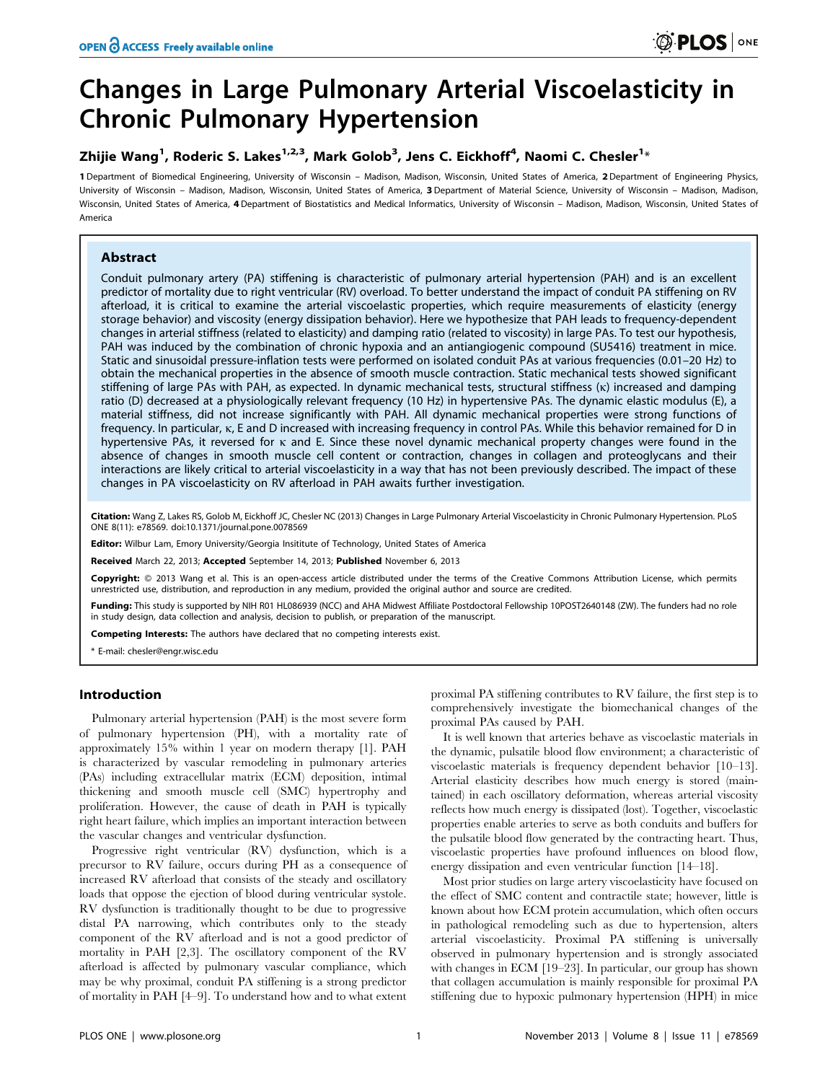# Changes in Large Pulmonary Arterial Viscoelasticity in Chronic Pulmonary Hypertension

# Zhijie Wang $^1$ , Roderic S. Lakes $^{1,2,3}$ , Mark Golob $^3$ , Jens C. Eickhoff $^4$ , Naomi C. Chesler $^{1_\times}$

1 Department of Biomedical Engineering, University of Wisconsin – Madison, Madison, Wisconsin, United States of America, 2 Department of Engineering Physics, University of Wisconsin – Madison, Madison, Wisconsin, United States of America, 3 Department of Material Science, University of Wisconsin – Madison, Madison, Wisconsin, United States of America, 4 Department of Biostatistics and Medical Informatics, University of Wisconsin - Madison, Madison, Wisconsin, United States of America

# Abstract

Conduit pulmonary artery (PA) stiffening is characteristic of pulmonary arterial hypertension (PAH) and is an excellent predictor of mortality due to right ventricular (RV) overload. To better understand the impact of conduit PA stiffening on RV afterload, it is critical to examine the arterial viscoelastic properties, which require measurements of elasticity (energy storage behavior) and viscosity (energy dissipation behavior). Here we hypothesize that PAH leads to frequency-dependent changes in arterial stiffness (related to elasticity) and damping ratio (related to viscosity) in large PAs. To test our hypothesis, PAH was induced by the combination of chronic hypoxia and an antiangiogenic compound (SU5416) treatment in mice. Static and sinusoidal pressure-inflation tests were performed on isolated conduit PAs at various frequencies (0.01–20 Hz) to obtain the mechanical properties in the absence of smooth muscle contraction. Static mechanical tests showed significant stiffening of large PAs with PAH, as expected. In dynamic mechanical tests, structural stiffness (k) increased and damping ratio (D) decreased at a physiologically relevant frequency (10 Hz) in hypertensive PAs. The dynamic elastic modulus (E), a material stiffness, did not increase significantly with PAH. All dynamic mechanical properties were strong functions of frequency. In particular, k, E and D increased with increasing frequency in control PAs. While this behavior remained for D in hypertensive PAs, it reversed for k and E. Since these novel dynamic mechanical property changes were found in the absence of changes in smooth muscle cell content or contraction, changes in collagen and proteoglycans and their interactions are likely critical to arterial viscoelasticity in a way that has not been previously described. The impact of these changes in PA viscoelasticity on RV afterload in PAH awaits further investigation.

Citation: Wang Z, Lakes RS, Golob M, Eickhoff JC, Chesler NC (2013) Changes in Large Pulmonary Arterial Viscoelasticity in Chronic Pulmonary Hypertension. PLoS ONE 8(11): e78569. doi:10.1371/journal.pone.0078569

Editor: Wilbur Lam, Emory University/Georgia Insititute of Technology, United States of America

Received March 22, 2013; Accepted September 14, 2013; Published November 6, 2013

Copyright: © 2013 Wang et al. This is an open-access article distributed under the terms of the Creative Commons Attribution License, which permits unrestricted use, distribution, and reproduction in any medium, provided the original author and source are credited.

Funding: This study is supported by NIH R01 HL086939 (NCC) and AHA Midwest Affiliate Postdoctoral Fellowship 10POST2640148 (ZW). The funders had no role in study design, data collection and analysis, decision to publish, or preparation of the manuscript.

Competing Interests: The authors have declared that no competing interests exist.

\* E-mail: chesler@engr.wisc.edu

# Introduction

Pulmonary arterial hypertension (PAH) is the most severe form of pulmonary hypertension (PH), with a mortality rate of approximately 15% within 1 year on modern therapy [1]. PAH is characterized by vascular remodeling in pulmonary arteries (PAs) including extracellular matrix (ECM) deposition, intimal thickening and smooth muscle cell (SMC) hypertrophy and proliferation. However, the cause of death in PAH is typically right heart failure, which implies an important interaction between the vascular changes and ventricular dysfunction.

Progressive right ventricular (RV) dysfunction, which is a precursor to RV failure, occurs during PH as a consequence of increased RV afterload that consists of the steady and oscillatory loads that oppose the ejection of blood during ventricular systole. RV dysfunction is traditionally thought to be due to progressive distal PA narrowing, which contributes only to the steady component of the RV afterload and is not a good predictor of mortality in PAH [2,3]. The oscillatory component of the RV afterload is affected by pulmonary vascular compliance, which may be why proximal, conduit PA stiffening is a strong predictor of mortality in PAH [4–9]. To understand how and to what extent

proximal PA stiffening contributes to RV failure, the first step is to comprehensively investigate the biomechanical changes of the proximal PAs caused by PAH.

It is well known that arteries behave as viscoelastic materials in the dynamic, pulsatile blood flow environment; a characteristic of viscoelastic materials is frequency dependent behavior [10–13]. Arterial elasticity describes how much energy is stored (maintained) in each oscillatory deformation, whereas arterial viscosity reflects how much energy is dissipated (lost). Together, viscoelastic properties enable arteries to serve as both conduits and buffers for the pulsatile blood flow generated by the contracting heart. Thus, viscoelastic properties have profound influences on blood flow, energy dissipation and even ventricular function [14–18].

Most prior studies on large artery viscoelasticity have focused on the effect of SMC content and contractile state; however, little is known about how ECM protein accumulation, which often occurs in pathological remodeling such as due to hypertension, alters arterial viscoelasticity. Proximal PA stiffening is universally observed in pulmonary hypertension and is strongly associated with changes in ECM [19–23]. In particular, our group has shown that collagen accumulation is mainly responsible for proximal PA stiffening due to hypoxic pulmonary hypertension (HPH) in mice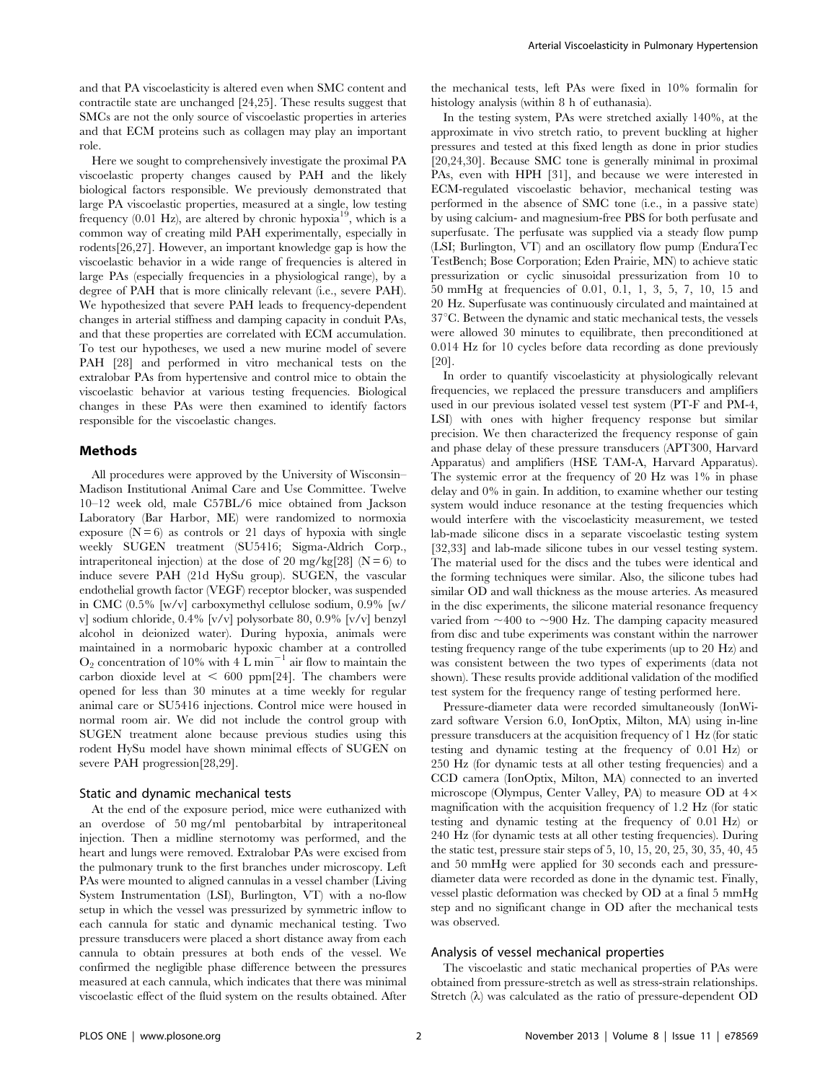and that PA viscoelasticity is altered even when SMC content and contractile state are unchanged [24,25]. These results suggest that SMCs are not the only source of viscoelastic properties in arteries and that ECM proteins such as collagen may play an important role.

Here we sought to comprehensively investigate the proximal PA viscoelastic property changes caused by PAH and the likely biological factors responsible. We previously demonstrated that large PA viscoelastic properties, measured at a single, low testing frequency (0.01 Hz), are altered by chronic hypoxia<sup>19</sup>, which is a common way of creating mild PAH experimentally, especially in rodents[26,27]. However, an important knowledge gap is how the viscoelastic behavior in a wide range of frequencies is altered in large PAs (especially frequencies in a physiological range), by a degree of PAH that is more clinically relevant (i.e., severe PAH). We hypothesized that severe PAH leads to frequency-dependent changes in arterial stiffness and damping capacity in conduit PAs, and that these properties are correlated with ECM accumulation. To test our hypotheses, we used a new murine model of severe PAH [28] and performed in vitro mechanical tests on the extralobar PAs from hypertensive and control mice to obtain the viscoelastic behavior at various testing frequencies. Biological changes in these PAs were then examined to identify factors responsible for the viscoelastic changes.

# Methods

All procedures were approved by the University of Wisconsin– Madison Institutional Animal Care and Use Committee. Twelve 10–12 week old, male C57BL/6 mice obtained from Jackson Laboratory (Bar Harbor, ME) were randomized to normoxia exposure  $(N = 6)$  as controls or 21 days of hypoxia with single weekly SUGEN treatment (SU5416; Sigma-Aldrich Corp., intraperitoneal injection) at the dose of 20 mg/kg[28] ( $N = 6$ ) to induce severe PAH (21d HySu group). SUGEN, the vascular endothelial growth factor (VEGF) receptor blocker, was suspended in CMC (0.5% [w/v] carboxymethyl cellulose sodium, 0.9% [w/ v] sodium chloride, 0.4% [v/v] polysorbate 80, 0.9% [v/v] benzyl alcohol in deionized water). During hypoxia, animals were maintained in a normobaric hypoxic chamber at a controlled  $O_2$  concentration of 10% with 4 L min<sup>-1</sup> air flow to maintain the carbon dioxide level at  $< 600$  ppm[24]. The chambers were opened for less than 30 minutes at a time weekly for regular animal care or SU5416 injections. Control mice were housed in normal room air. We did not include the control group with SUGEN treatment alone because previous studies using this rodent HySu model have shown minimal effects of SUGEN on severe PAH progression[28,29].

#### Static and dynamic mechanical tests

At the end of the exposure period, mice were euthanized with an overdose of 50 mg/ml pentobarbital by intraperitoneal injection. Then a midline sternotomy was performed, and the heart and lungs were removed. Extralobar PAs were excised from the pulmonary trunk to the first branches under microscopy. Left PAs were mounted to aligned cannulas in a vessel chamber (Living System Instrumentation (LSI), Burlington, VT) with a no-flow setup in which the vessel was pressurized by symmetric inflow to each cannula for static and dynamic mechanical testing. Two pressure transducers were placed a short distance away from each cannula to obtain pressures at both ends of the vessel. We confirmed the negligible phase difference between the pressures measured at each cannula, which indicates that there was minimal viscoelastic effect of the fluid system on the results obtained. After

the mechanical tests, left PAs were fixed in 10% formalin for histology analysis (within 8 h of euthanasia).

In the testing system, PAs were stretched axially 140%, at the approximate in vivo stretch ratio, to prevent buckling at higher pressures and tested at this fixed length as done in prior studies [20,24,30]. Because SMC tone is generally minimal in proximal PAs, even with HPH [31], and because we were interested in ECM-regulated viscoelastic behavior, mechanical testing was performed in the absence of SMC tone (i.e., in a passive state) by using calcium- and magnesium-free PBS for both perfusate and superfusate. The perfusate was supplied via a steady flow pump (LSI; Burlington, VT) and an oscillatory flow pump (EnduraTec TestBench; Bose Corporation; Eden Prairie, MN) to achieve static pressurization or cyclic sinusoidal pressurization from 10 to 50 mmHg at frequencies of 0.01, 0.1, 1, 3, 5, 7, 10, 15 and 20 Hz. Superfusate was continuously circulated and maintained at  $37^{\circ}$ C. Between the dynamic and static mechanical tests, the vessels were allowed 30 minutes to equilibrate, then preconditioned at 0.014 Hz for 10 cycles before data recording as done previously [20].

In order to quantify viscoelasticity at physiologically relevant frequencies, we replaced the pressure transducers and amplifiers used in our previous isolated vessel test system (PT-F and PM-4, LSI) with ones with higher frequency response but similar precision. We then characterized the frequency response of gain and phase delay of these pressure transducers (APT300, Harvard Apparatus) and amplifiers (HSE TAM-A, Harvard Apparatus). The systemic error at the frequency of 20 Hz was 1% in phase delay and 0% in gain. In addition, to examine whether our testing system would induce resonance at the testing frequencies which would interfere with the viscoelasticity measurement, we tested lab-made silicone discs in a separate viscoelastic testing system [32,33] and lab-made silicone tubes in our vessel testing system. The material used for the discs and the tubes were identical and the forming techniques were similar. Also, the silicone tubes had similar OD and wall thickness as the mouse arteries. As measured in the disc experiments, the silicone material resonance frequency varied from  $\sim$ 400 to  $\sim$ 900 Hz. The damping capacity measured from disc and tube experiments was constant within the narrower testing frequency range of the tube experiments (up to 20 Hz) and was consistent between the two types of experiments (data not shown). These results provide additional validation of the modified test system for the frequency range of testing performed here.

Pressure-diameter data were recorded simultaneously (IonWizard software Version 6.0, IonOptix, Milton, MA) using in-line pressure transducers at the acquisition frequency of 1 Hz (for static testing and dynamic testing at the frequency of 0.01 Hz) or 250 Hz (for dynamic tests at all other testing frequencies) and a CCD camera (IonOptix, Milton, MA) connected to an inverted microscope (Olympus, Center Valley, PA) to measure OD at  $4 \times$ magnification with the acquisition frequency of 1.2 Hz (for static testing and dynamic testing at the frequency of 0.01 Hz) or 240 Hz (for dynamic tests at all other testing frequencies). During the static test, pressure stair steps of 5, 10, 15, 20, 25, 30, 35, 40, 45 and 50 mmHg were applied for 30 seconds each and pressurediameter data were recorded as done in the dynamic test. Finally, vessel plastic deformation was checked by OD at a final 5 mmHg step and no significant change in OD after the mechanical tests was observed.

#### Analysis of vessel mechanical properties

The viscoelastic and static mechanical properties of PAs were obtained from pressure-stretch as well as stress-strain relationships. Stretch  $(\lambda)$  was calculated as the ratio of pressure-dependent OD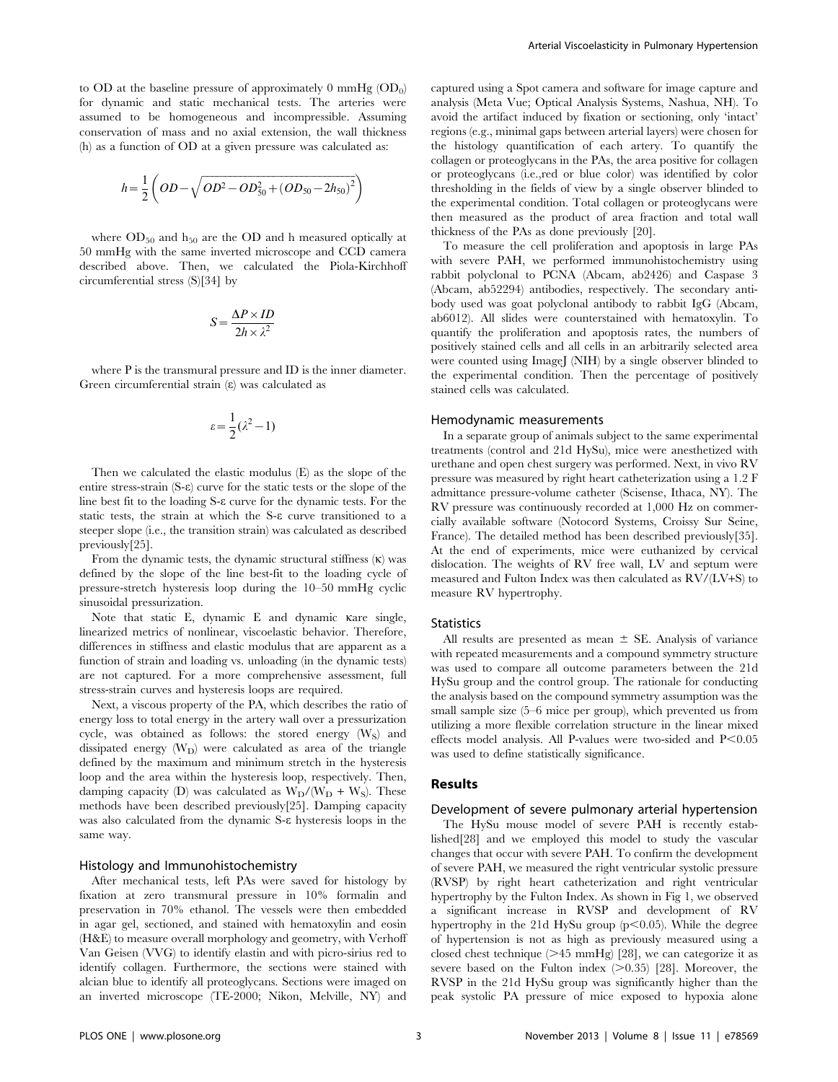to OD at the baseline pressure of approximately  $0 \text{ mmHg}$  (OD<sub>0</sub>) for dynamic and static mechanical tests. The arteries were assumed to be homogeneous and incompressible. Assuming conservation of mass and no axial extension, the wall thickness (h) as a function of OD at a given pressure was calculated as:

$$
h = \frac{1}{2} \left( OD - \sqrt{OD^2 - OD_{50}^2 + (OD_{50} - 2h_{50})^2} \right)
$$

where  $OD_{50}$  and  $h_{50}$  are the OD and h measured optically at 50 mmHg with the same inverted microscope and CCD camera described above. Then, we calculated the Piola-Kirchhoff circumferential stress (S)[34] by

$$
S = \frac{\Delta P \times ID}{2h \times \lambda^2}
$$

where P is the transmural pressure and ID is the inner diameter. Green circumferential strain  $(\varepsilon)$  was calculated as

$$
\varepsilon = \frac{1}{2}(\lambda^2 - 1)
$$

Then we calculated the elastic modulus (E) as the slope of the entire stress-strain (S-e) curve for the static tests or the slope of the line best fit to the loading S-e curve for the dynamic tests. For the static tests, the strain at which the S-e curve transitioned to a steeper slope (i.e., the transition strain) was calculated as described previously[25].

From the dynamic tests, the dynamic structural stiffness  $(\kappa)$  was defined by the slope of the line best-fit to the loading cycle of pressure-stretch hysteresis loop during the 10–50 mmHg cyclic sinusoidal pressurization.

Note that static E, dynamic E and dynamic kare single, linearized metrics of nonlinear, viscoelastic behavior. Therefore, differences in stiffness and elastic modulus that are apparent as a function of strain and loading vs. unloading (in the dynamic tests) are not captured. For a more comprehensive assessment, full stress-strain curves and hysteresis loops are required.

Next, a viscous property of the PA, which describes the ratio of energy loss to total energy in the artery wall over a pressurization cycle, was obtained as follows: the stored energy  $(W<sub>S</sub>)$  and dissipated energy  $(W_D)$  were calculated as area of the triangle defined by the maximum and minimum stretch in the hysteresis loop and the area within the hysteresis loop, respectively. Then, damping capacity (D) was calculated as  $W_D/(W_D + W_S)$ . These methods have been described previously[25]. Damping capacity was also calculated from the dynamic S-e hysteresis loops in the same way.

#### Histology and Immunohistochemistry

After mechanical tests, left PAs were saved for histology by fixation at zero transmural pressure in 10% formalin and preservation in 70% ethanol. The vessels were then embedded in agar gel, sectioned, and stained with hematoxylin and eosin (H&E) to measure overall morphology and geometry, with Verhoff Van Geisen (VVG) to identify elastin and with picro-sirius red to identify collagen. Furthermore, the sections were stained with alcian blue to identify all proteoglycans. Sections were imaged on an inverted microscope (TE-2000; Nikon, Melville, NY) and captured using a Spot camera and software for image capture and analysis (Meta Vue; Optical Analysis Systems, Nashua, NH). To avoid the artifact induced by fixation or sectioning, only 'intact' regions (e.g., minimal gaps between arterial layers) were chosen for the histology quantification of each artery. To quantify the collagen or proteoglycans in the PAs, the area positive for collagen or proteoglycans (i.e.,red or blue color) was identified by color thresholding in the fields of view by a single observer blinded to the experimental condition. Total collagen or proteoglycans were then measured as the product of area fraction and total wall thickness of the PAs as done previously [20].

To measure the cell proliferation and apoptosis in large PAs with severe PAH, we performed immunohistochemistry using rabbit polyclonal to PCNA (Abcam, ab2426) and Caspase 3 (Abcam, ab52294) antibodies, respectively. The secondary antibody used was goat polyclonal antibody to rabbit IgG (Abcam, ab6012). All slides were counterstained with hematoxylin. To quantify the proliferation and apoptosis rates, the numbers of positively stained cells and all cells in an arbitrarily selected area were counted using ImageJ (NIH) by a single observer blinded to the experimental condition. Then the percentage of positively stained cells was calculated.

#### Hemodynamic measurements

In a separate group of animals subject to the same experimental treatments (control and 21d HySu), mice were anesthetized with urethane and open chest surgery was performed. Next, in vivo RV pressure was measured by right heart catheterization using a 1.2 F admittance pressure-volume catheter (Scisense, Ithaca, NY). The RV pressure was continuously recorded at 1,000 Hz on commercially available software (Notocord Systems, Croissy Sur Seine, France). The detailed method has been described previously[35]. At the end of experiments, mice were euthanized by cervical dislocation. The weights of RV free wall, LV and septum were measured and Fulton Index was then calculated as RV/(LV+S) to measure RV hypertrophy.

### **Statistics**

All results are presented as mean  $\pm$  SE. Analysis of variance with repeated measurements and a compound symmetry structure was used to compare all outcome parameters between the 21d HySu group and the control group. The rationale for conducting the analysis based on the compound symmetry assumption was the small sample size (5–6 mice per group), which prevented us from utilizing a more flexible correlation structure in the linear mixed effects model analysis. All P-values were two-sided and  $P<0.05$ was used to define statistically significance.

### Results

#### Development of severe pulmonary arterial hypertension

The HySu mouse model of severe PAH is recently established[28] and we employed this model to study the vascular changes that occur with severe PAH. To confirm the development of severe PAH, we measured the right ventricular systolic pressure (RVSP) by right heart catheterization and right ventricular hypertrophy by the Fulton Index. As shown in Fig 1, we observed a significant increase in RVSP and development of RV hypertrophy in the 21d HySu group ( $p$ <0.05). While the degree of hypertension is not as high as previously measured using a closed chest technique  $(\geq\!45$  mmHg) [28], we can categorize it as severe based on the Fulton index  $(>0.35)$  [28]. Moreover, the RVSP in the 21d HySu group was significantly higher than the peak systolic PA pressure of mice exposed to hypoxia alone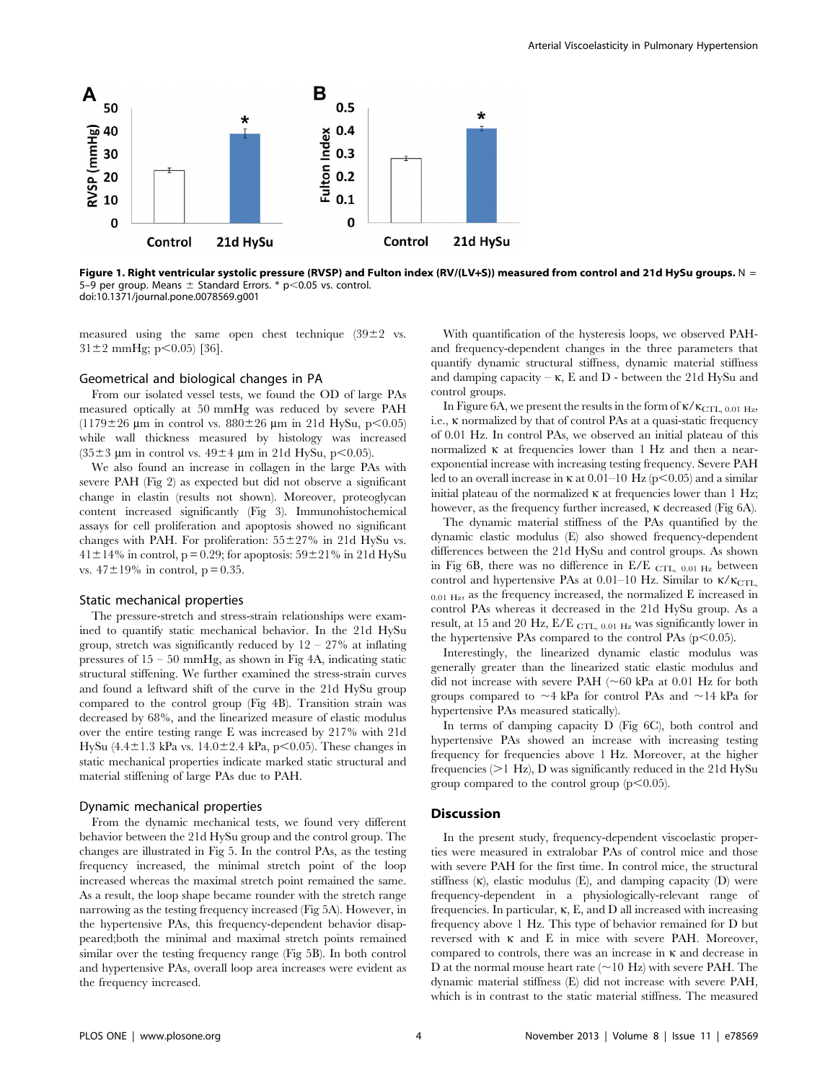

Figure 1. Right ventricular systolic pressure (RVSP) and Fulton index (RV/(LV+S)) measured from control and 21d HySu groups. N = 5–9 per group. Means  $\pm$  Standard Errors. \* p<0.05 vs. control. doi:10.1371/journal.pone.0078569.g001

measured using the same open chest technique  $(39\pm2)$  vs.  $31\pm2$  mmHg; p $\leq0.05$ ) [36].

# Geometrical and biological changes in PA

From our isolated vessel tests, we found the OD of large PAs measured optically at 50 mmHg was reduced by severe PAH (1179 $\pm$ 26 µm in control vs. 880 $\pm$ 26 µm in 21d HySu, p<0.05) while wall thickness measured by histology was increased  $(35\pm3 \text{ }\mu\text{m} \text{ in control vs. } 49\pm4 \text{ }\mu\text{m} \text{ in } 21\text{ d HySu, } p<0.05)$ .

We also found an increase in collagen in the large PAs with severe PAH (Fig 2) as expected but did not observe a significant change in elastin (results not shown). Moreover, proteoglycan content increased significantly (Fig 3). Immunohistochemical assays for cell proliferation and apoptosis showed no significant changes with PAH. For proliferation:  $55\pm27\%$  in 21d HySu vs.  $41\pm14\%$  in control, p = 0.29; for apoptosis:  $59\pm21\%$  in 21d HySu vs.  $47 \pm 19\%$  in control, p = 0.35.

#### Static mechanical properties

The pressure-stretch and stress-strain relationships were examined to quantify static mechanical behavior. In the 21d HySu group, stretch was significantly reduced by  $12 - 27\%$  at inflating pressures of  $15 - 50$  mmHg, as shown in Fig 4A, indicating static structural stiffening. We further examined the stress-strain curves and found a leftward shift of the curve in the 21d HySu group compared to the control group (Fig 4B). Transition strain was decreased by 68%, and the linearized measure of elastic modulus over the entire testing range E was increased by 217% with 21d HySu (4.4 $\pm$ 1.3 kPa vs. 14.0 $\pm$ 2.4 kPa, p $\leq$ 0.05). These changes in static mechanical properties indicate marked static structural and material stiffening of large PAs due to PAH.

#### Dynamic mechanical properties

From the dynamic mechanical tests, we found very different behavior between the 21d HySu group and the control group. The changes are illustrated in Fig 5. In the control PAs, as the testing frequency increased, the minimal stretch point of the loop increased whereas the maximal stretch point remained the same. As a result, the loop shape became rounder with the stretch range narrowing as the testing frequency increased (Fig 5A). However, in the hypertensive PAs, this frequency-dependent behavior disappeared;both the minimal and maximal stretch points remained similar over the testing frequency range (Fig 5B). In both control and hypertensive PAs, overall loop area increases were evident as the frequency increased.

With quantification of the hysteresis loops, we observed PAHand frequency-dependent changes in the three parameters that quantify dynamic structural stiffness, dynamic material stiffness and damping capacity –  $\kappa$ , E and D - between the 21d HySu and control groups.

In Figure 6A, we present the results in the form of  $\kappa/\kappa_{\text{CTL, 0.01 Hz}}$ , i.e., k normalized by that of control PAs at a quasi-static frequency of 0.01 Hz. In control PAs, we observed an initial plateau of this normalized  $\kappa$  at frequencies lower than 1 Hz and then a nearexponential increase with increasing testing frequency. Severe PAH led to an overall increase in  $\kappa$  at 0.01–10 Hz (p $\leq$ 0.05) and a similar initial plateau of the normalized  $\kappa$  at frequencies lower than 1 Hz; however, as the frequency further increased,  $\kappa$  decreased (Fig 6A).

The dynamic material stiffness of the PAs quantified by the dynamic elastic modulus (E) also showed frequency-dependent differences between the 21d HySu and control groups. As shown in Fig 6B, there was no difference in  $E/E$  CTL, 0.01 Hz between control and hypertensive PAs at  $0.01-10$  Hz. Similar to  $\kappa/\kappa_{\text{CTL}}$ ,  $_{0.01 \text{ Hz}}$ , as the frequency increased, the normalized E increased in control PAs whereas it decreased in the 21d HySu group. As a result, at 15 and 20 Hz, E/E CTL, 0.01 Hz was significantly lower in the hypertensive PAs compared to the control PAs  $(p<0.05)$ .

Interestingly, the linearized dynamic elastic modulus was generally greater than the linearized static elastic modulus and did not increase with severe PAH  $(\sim 60 \text{ kPa at } 0.01 \text{ Hz for both}$ groups compared to  $\sim$ 4 kPa for control PAs and  $\sim$ 14 kPa for hypertensive PAs measured statically).

In terms of damping capacity D (Fig 6C), both control and hypertensive PAs showed an increase with increasing testing frequency for frequencies above 1 Hz. Moreover, at the higher frequencies  $(>1$  Hz), D was significantly reduced in the 21d HySu group compared to the control group  $(p<0.05)$ .

#### **Discussion**

In the present study, frequency-dependent viscoelastic properties were measured in extralobar PAs of control mice and those with severe PAH for the first time. In control mice, the structural stiffness  $(\kappa)$ , elastic modulus  $(E)$ , and damping capacity  $(D)$  were frequency-dependent in a physiologically-relevant range of frequencies. In particular,  $\kappa$ , E, and D all increased with increasing frequency above 1 Hz. This type of behavior remained for D but reversed with k and E in mice with severe PAH. Moreover, compared to controls, there was an increase in k and decrease in D at the normal mouse heart rate  $(\sim 10$  Hz) with severe PAH. The dynamic material stiffness (E) did not increase with severe PAH, which is in contrast to the static material stiffness. The measured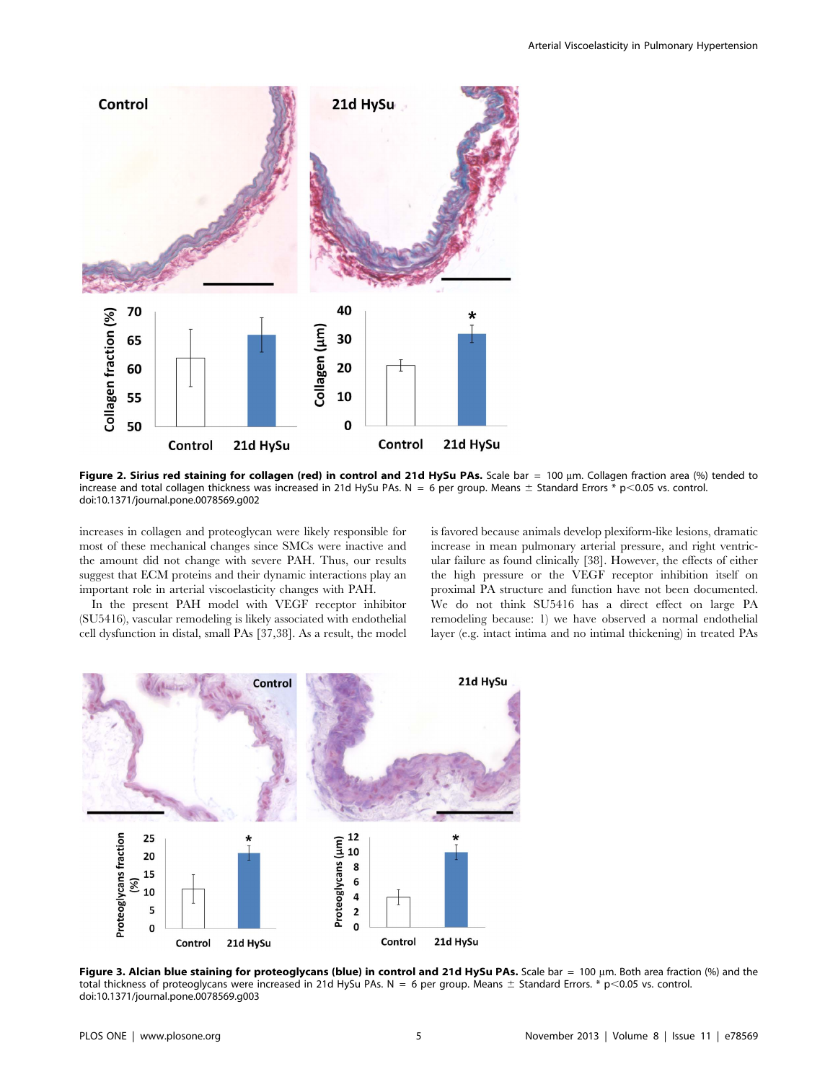

Figure 2. Sirius red staining for collagen (red) in control and 21d HySu PAs. Scale bar = 100  $\mu$ m. Collagen fraction area (%) tended to increase and total collagen thickness was increased in 21d HySu PAs. N = 6 per group. Means  $\pm$  Standard Errors \* p<0.05 vs. control. doi:10.1371/journal.pone.0078569.g002

increases in collagen and proteoglycan were likely responsible for most of these mechanical changes since SMCs were inactive and the amount did not change with severe PAH. Thus, our results suggest that ECM proteins and their dynamic interactions play an important role in arterial viscoelasticity changes with PAH.

In the present PAH model with VEGF receptor inhibitor (SU5416), vascular remodeling is likely associated with endothelial cell dysfunction in distal, small PAs [37,38]. As a result, the model is favored because animals develop plexiform-like lesions, dramatic increase in mean pulmonary arterial pressure, and right ventricular failure as found clinically [38]. However, the effects of either the high pressure or the VEGF receptor inhibition itself on proximal PA structure and function have not been documented. We do not think SU5416 has a direct effect on large PA remodeling because: 1) we have observed a normal endothelial layer (e.g. intact intima and no intimal thickening) in treated PAs



Figure 3. Alcian blue staining for proteoglycans (blue) in control and 21d HySu PAs. Scale bar = 100 µm. Both area fraction (%) and the total thickness of proteoglycans were increased in 21d HySu PAs. N = 6 per group. Means  $\pm$  Standard Errors. \* p<0.05 vs. control. doi:10.1371/journal.pone.0078569.g003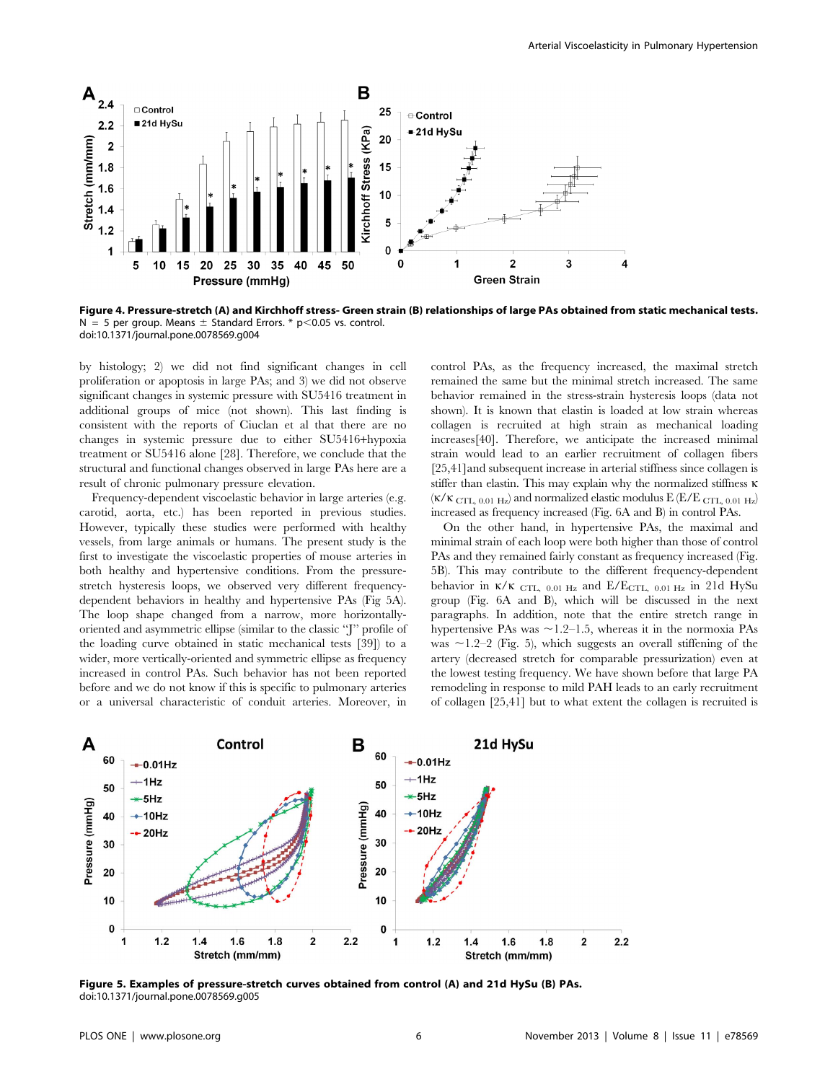

Figure 4. Pressure-stretch (A) and Kirchhoff stress- Green strain (B) relationships of large PAs obtained from static mechanical tests. N = 5 per group. Means  $\pm$  Standard Errors. \* p $<$ 0.05 vs. control. doi:10.1371/journal.pone.0078569.g004

by histology; 2) we did not find significant changes in cell proliferation or apoptosis in large PAs; and 3) we did not observe significant changes in systemic pressure with SU5416 treatment in additional groups of mice (not shown). This last finding is consistent with the reports of Ciuclan et al that there are no changes in systemic pressure due to either SU5416+hypoxia treatment or SU5416 alone [28]. Therefore, we conclude that the structural and functional changes observed in large PAs here are a result of chronic pulmonary pressure elevation.

Frequency-dependent viscoelastic behavior in large arteries (e.g. carotid, aorta, etc.) has been reported in previous studies. However, typically these studies were performed with healthy vessels, from large animals or humans. The present study is the first to investigate the viscoelastic properties of mouse arteries in both healthy and hypertensive conditions. From the pressurestretch hysteresis loops, we observed very different frequencydependent behaviors in healthy and hypertensive PAs (Fig 5A). The loop shape changed from a narrow, more horizontallyoriented and asymmetric ellipse (similar to the classic ''J'' profile of the loading curve obtained in static mechanical tests [39]) to a wider, more vertically-oriented and symmetric ellipse as frequency increased in control PAs. Such behavior has not been reported before and we do not know if this is specific to pulmonary arteries or a universal characteristic of conduit arteries. Moreover, in control PAs, as the frequency increased, the maximal stretch remained the same but the minimal stretch increased. The same behavior remained in the stress-strain hysteresis loops (data not shown). It is known that elastin is loaded at low strain whereas collagen is recruited at high strain as mechanical loading increases[40]. Therefore, we anticipate the increased minimal strain would lead to an earlier recruitment of collagen fibers [25,41]and subsequent increase in arterial stiffness since collagen is stiffer than elastin. This may explain why the normalized stiffness  $\kappa$  $(K/K$  CTL, 0.01 Hz) and normalized elastic modulus E (E/E CTL, 0.01 Hz) increased as frequency increased (Fig. 6A and B) in control PAs.

On the other hand, in hypertensive PAs, the maximal and minimal strain of each loop were both higher than those of control PAs and they remained fairly constant as frequency increased (Fig. 5B). This may contribute to the different frequency-dependent behavior in  $\kappa/\kappa$  CTL, 0.01 Hz and E/ECTL, 0.01 Hz in 21d HySu group (Fig. 6A and B), which will be discussed in the next paragraphs. In addition, note that the entire stretch range in hypertensive PAs was  $\sim$  1.2–1.5, whereas it in the normoxia PAs was  $\sim$ 1.2–2 (Fig. 5), which suggests an overall stiffening of the artery (decreased stretch for comparable pressurization) even at the lowest testing frequency. We have shown before that large PA remodeling in response to mild PAH leads to an early recruitment of collagen [25,41] but to what extent the collagen is recruited is



Figure 5. Examples of pressure-stretch curves obtained from control (A) and 21d HySu (B) PAs. doi:10.1371/journal.pone.0078569.g005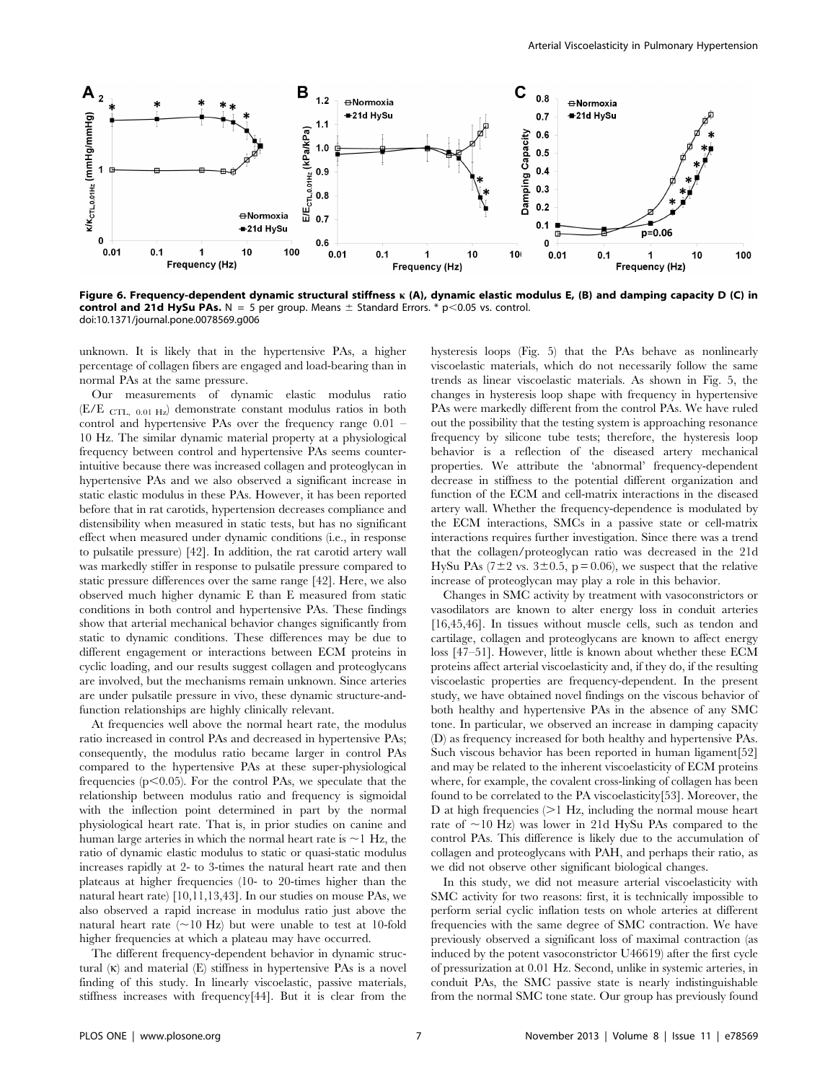

Figure 6. Frequency-dependent dynamic structural stiffness k (A), dynamic elastic modulus E, (B) and damping capacity D (C) in control and 21d HySu PAs.  $N = 5$  per group. Means  $\pm$  Standard Errors. \* p<0.05 vs. control. doi:10.1371/journal.pone.0078569.g006

unknown. It is likely that in the hypertensive PAs, a higher percentage of collagen fibers are engaged and load-bearing than in normal PAs at the same pressure.

Our measurements of dynamic elastic modulus ratio (E/E CTL, 0.01 Hz) demonstrate constant modulus ratios in both control and hypertensive PAs over the frequency range 0.01 – 10 Hz. The similar dynamic material property at a physiological frequency between control and hypertensive PAs seems counterintuitive because there was increased collagen and proteoglycan in hypertensive PAs and we also observed a significant increase in static elastic modulus in these PAs. However, it has been reported before that in rat carotids, hypertension decreases compliance and distensibility when measured in static tests, but has no significant effect when measured under dynamic conditions (i.e., in response to pulsatile pressure) [42]. In addition, the rat carotid artery wall was markedly stiffer in response to pulsatile pressure compared to static pressure differences over the same range [42]. Here, we also observed much higher dynamic E than E measured from static conditions in both control and hypertensive PAs. These findings show that arterial mechanical behavior changes significantly from static to dynamic conditions. These differences may be due to different engagement or interactions between ECM proteins in cyclic loading, and our results suggest collagen and proteoglycans are involved, but the mechanisms remain unknown. Since arteries are under pulsatile pressure in vivo, these dynamic structure-andfunction relationships are highly clinically relevant.

At frequencies well above the normal heart rate, the modulus ratio increased in control PAs and decreased in hypertensive PAs; consequently, the modulus ratio became larger in control PAs compared to the hypertensive PAs at these super-physiological frequencies ( $p<0.05$ ). For the control PAs, we speculate that the relationship between modulus ratio and frequency is sigmoidal with the inflection point determined in part by the normal physiological heart rate. That is, in prior studies on canine and human large arteries in which the normal heart rate is  $\sim$ 1 Hz, the ratio of dynamic elastic modulus to static or quasi-static modulus increases rapidly at 2- to 3-times the natural heart rate and then plateaus at higher frequencies (10- to 20-times higher than the natural heart rate) [10,11,13,43]. In our studies on mouse PAs, we also observed a rapid increase in modulus ratio just above the natural heart rate  $(\sim 10 \text{ Hz})$  but were unable to test at 10-fold higher frequencies at which a plateau may have occurred.

The different frequency-dependent behavior in dynamic structural  $(\kappa)$  and material  $(E)$  stiffness in hypertensive PAs is a novel finding of this study. In linearly viscoelastic, passive materials, stiffness increases with frequency[44]. But it is clear from the hysteresis loops (Fig. 5) that the PAs behave as nonlinearly viscoelastic materials, which do not necessarily follow the same trends as linear viscoelastic materials. As shown in Fig. 5, the changes in hysteresis loop shape with frequency in hypertensive PAs were markedly different from the control PAs. We have ruled out the possibility that the testing system is approaching resonance frequency by silicone tube tests; therefore, the hysteresis loop behavior is a reflection of the diseased artery mechanical properties. We attribute the 'abnormal' frequency-dependent decrease in stiffness to the potential different organization and function of the ECM and cell-matrix interactions in the diseased artery wall. Whether the frequency-dependence is modulated by the ECM interactions, SMCs in a passive state or cell-matrix interactions requires further investigation. Since there was a trend that the collagen/proteoglycan ratio was decreased in the 21d HySu PAs ( $7\pm2$  vs.  $3\pm0.5$ , p = 0.06), we suspect that the relative increase of proteoglycan may play a role in this behavior.

Changes in SMC activity by treatment with vasoconstrictors or vasodilators are known to alter energy loss in conduit arteries [16,45,46]. In tissues without muscle cells, such as tendon and cartilage, collagen and proteoglycans are known to affect energy loss [47–51]. However, little is known about whether these ECM proteins affect arterial viscoelasticity and, if they do, if the resulting viscoelastic properties are frequency-dependent. In the present study, we have obtained novel findings on the viscous behavior of both healthy and hypertensive PAs in the absence of any SMC tone. In particular, we observed an increase in damping capacity (D) as frequency increased for both healthy and hypertensive PAs. Such viscous behavior has been reported in human ligament[52] and may be related to the inherent viscoelasticity of ECM proteins where, for example, the covalent cross-linking of collagen has been found to be correlated to the PA viscoelasticity[53]. Moreover, the D at high frequencies  $(>1$  Hz, including the normal mouse heart rate of  $\sim$ 10 Hz) was lower in 21d HySu PAs compared to the control PAs. This difference is likely due to the accumulation of collagen and proteoglycans with PAH, and perhaps their ratio, as we did not observe other significant biological changes.

In this study, we did not measure arterial viscoelasticity with SMC activity for two reasons: first, it is technically impossible to perform serial cyclic inflation tests on whole arteries at different frequencies with the same degree of SMC contraction. We have previously observed a significant loss of maximal contraction (as induced by the potent vasoconstrictor U46619) after the first cycle of pressurization at 0.01 Hz. Second, unlike in systemic arteries, in conduit PAs, the SMC passive state is nearly indistinguishable from the normal SMC tone state. Our group has previously found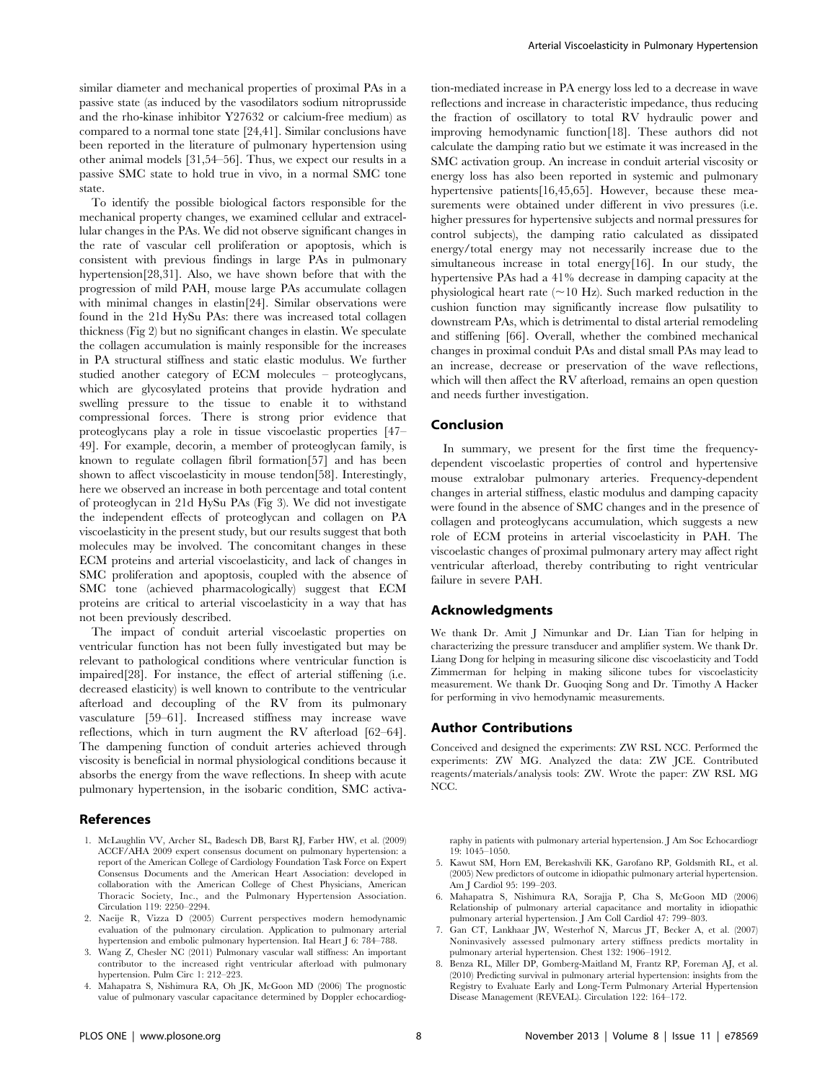similar diameter and mechanical properties of proximal PAs in a passive state (as induced by the vasodilators sodium nitroprusside and the rho-kinase inhibitor Y27632 or calcium-free medium) as compared to a normal tone state [24,41]. Similar conclusions have been reported in the literature of pulmonary hypertension using other animal models [31,54–56]. Thus, we expect our results in a passive SMC state to hold true in vivo, in a normal SMC tone state.

To identify the possible biological factors responsible for the mechanical property changes, we examined cellular and extracellular changes in the PAs. We did not observe significant changes in the rate of vascular cell proliferation or apoptosis, which is consistent with previous findings in large PAs in pulmonary hypertension[28,31]. Also, we have shown before that with the progression of mild PAH, mouse large PAs accumulate collagen with minimal changes in elastin[24]. Similar observations were found in the 21d HySu PAs: there was increased total collagen thickness (Fig 2) but no significant changes in elastin. We speculate the collagen accumulation is mainly responsible for the increases in PA structural stiffness and static elastic modulus. We further studied another category of ECM molecules – proteoglycans, which are glycosylated proteins that provide hydration and swelling pressure to the tissue to enable it to withstand compressional forces. There is strong prior evidence that proteoglycans play a role in tissue viscoelastic properties [47– 49]. For example, decorin, a member of proteoglycan family, is known to regulate collagen fibril formation[57] and has been shown to affect viscoelasticity in mouse tendon[58]. Interestingly, here we observed an increase in both percentage and total content of proteoglycan in 21d HySu PAs (Fig 3). We did not investigate the independent effects of proteoglycan and collagen on PA viscoelasticity in the present study, but our results suggest that both molecules may be involved. The concomitant changes in these ECM proteins and arterial viscoelasticity, and lack of changes in SMC proliferation and apoptosis, coupled with the absence of SMC tone (achieved pharmacologically) suggest that ECM proteins are critical to arterial viscoelasticity in a way that has not been previously described.

The impact of conduit arterial viscoelastic properties on ventricular function has not been fully investigated but may be relevant to pathological conditions where ventricular function is impaired[28]. For instance, the effect of arterial stiffening (i.e. decreased elasticity) is well known to contribute to the ventricular afterload and decoupling of the RV from its pulmonary vasculature [59–61]. Increased stiffness may increase wave reflections, which in turn augment the RV afterload [62–64]. The dampening function of conduit arteries achieved through viscosity is beneficial in normal physiological conditions because it absorbs the energy from the wave reflections. In sheep with acute pulmonary hypertension, in the isobaric condition, SMC activa-

## References

- 1. McLaughlin VV, Archer SL, Badesch DB, Barst RJ, Farber HW, et al. (2009) ACCF/AHA 2009 expert consensus document on pulmonary hypertension: a report of the American College of Cardiology Foundation Task Force on Expert Consensus Documents and the American Heart Association: developed in collaboration with the American College of Chest Physicians, American Thoracic Society, Inc., and the Pulmonary Hypertension Association. Circulation 119: 2250–2294.
- 2. Naeije R, Vizza D (2005) Current perspectives modern hemodynamic evaluation of the pulmonary circulation. Application to pulmonary arterial hypertension and embolic pulmonary hypertension. Ital Heart J 6: 784–788.
- 3. Wang Z, Chesler NC (2011) Pulmonary vascular wall stiffness: An important contributor to the increased right ventricular afterload with pulmonary hypertension. Pulm Circ 1: 212–223.
- 4. Mahapatra S, Nishimura RA, Oh JK, McGoon MD (2006) The prognostic value of pulmonary vascular capacitance determined by Doppler echocardiog-

tion-mediated increase in PA energy loss led to a decrease in wave reflections and increase in characteristic impedance, thus reducing the fraction of oscillatory to total RV hydraulic power and improving hemodynamic function[18]. These authors did not calculate the damping ratio but we estimate it was increased in the SMC activation group. An increase in conduit arterial viscosity or energy loss has also been reported in systemic and pulmonary hypertensive patients<sup>[16,45,65]</sup>. However, because these measurements were obtained under different in vivo pressures (i.e. higher pressures for hypertensive subjects and normal pressures for control subjects), the damping ratio calculated as dissipated energy/total energy may not necessarily increase due to the simultaneous increase in total energy<sup>[16]</sup>. In our study, the hypertensive PAs had a 41% decrease in damping capacity at the physiological heart rate  $(\sim 10 \text{ Hz})$ . Such marked reduction in the cushion function may significantly increase flow pulsatility to downstream PAs, which is detrimental to distal arterial remodeling and stiffening [66]. Overall, whether the combined mechanical changes in proximal conduit PAs and distal small PAs may lead to an increase, decrease or preservation of the wave reflections, which will then affect the RV afterload, remains an open question and needs further investigation.

# Conclusion

In summary, we present for the first time the frequencydependent viscoelastic properties of control and hypertensive mouse extralobar pulmonary arteries. Frequency-dependent changes in arterial stiffness, elastic modulus and damping capacity were found in the absence of SMC changes and in the presence of collagen and proteoglycans accumulation, which suggests a new role of ECM proteins in arterial viscoelasticity in PAH. The viscoelastic changes of proximal pulmonary artery may affect right ventricular afterload, thereby contributing to right ventricular failure in severe PAH.

# Acknowledgments

We thank Dr. Amit J Nimunkar and Dr. Lian Tian for helping in characterizing the pressure transducer and amplifier system. We thank Dr. Liang Dong for helping in measuring silicone disc viscoelasticity and Todd Zimmerman for helping in making silicone tubes for viscoelasticity measurement. We thank Dr. Guoqing Song and Dr. Timothy A Hacker for performing in vivo hemodynamic measurements.

#### Author Contributions

Conceived and designed the experiments: ZW RSL NCC. Performed the experiments: ZW MG. Analyzed the data: ZW JCE. Contributed reagents/materials/analysis tools: ZW. Wrote the paper: ZW RSL MG NCC.

raphy in patients with pulmonary arterial hypertension. J Am Soc Echocardiogr 19: 1045–1050.

- 5. Kawut SM, Horn EM, Berekashvili KK, Garofano RP, Goldsmith RL, et al. (2005) New predictors of outcome in idiopathic pulmonary arterial hypertension. Am J Cardiol 95: 199–203.
- 6. Mahapatra S, Nishimura RA, Sorajja P, Cha S, McGoon MD (2006) Relationship of pulmonary arterial capacitance and mortality in idiopathic pulmonary arterial hypertension. J Am Coll Cardiol 47: 799–803.
- 7. Gan CT, Lankhaar JW, Westerhof N, Marcus JT, Becker A, et al. (2007) Noninvasively assessed pulmonary artery stiffness predicts mortality in pulmonary arterial hypertension. Chest 132: 1906–1912.
- 8. Benza RL, Miller DP, Gomberg-Maitland M, Frantz RP, Foreman AJ, et al. (2010) Predicting survival in pulmonary arterial hypertension: insights from the Registry to Evaluate Early and Long-Term Pulmonary Arterial Hypertension Disease Management (REVEAL). Circulation 122: 164–172.